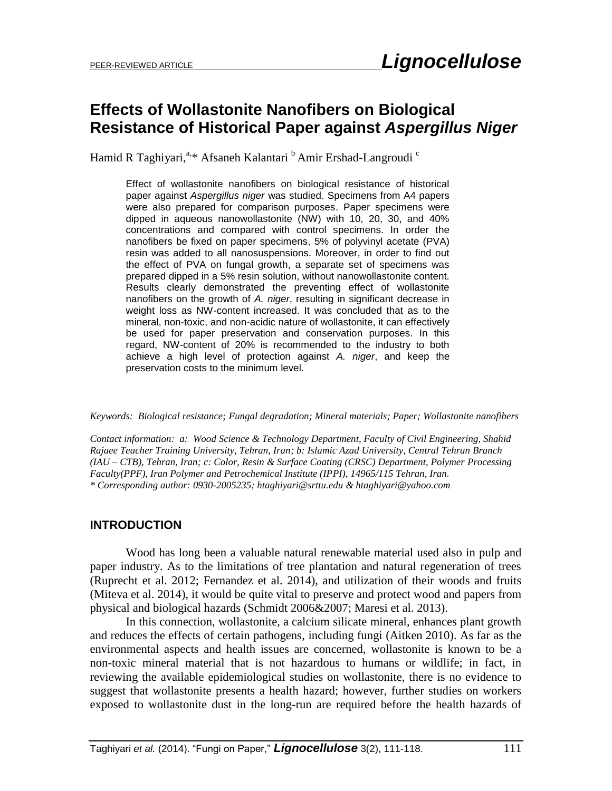# **Effects of Wollastonite Nanofibers on Biological Resistance of Historical Paper against** *Aspergillus Niger*

Hamid R Taghiyari,<sup>a,\*</sup> Afsaneh Kalantari <sup>b</sup> Amir Ershad-Langroudi <sup>c</sup>

Effect of wollastonite nanofibers on biological resistance of historical paper against *Aspergillus niger* was studied. Specimens from A4 papers were also prepared for comparison purposes. Paper specimens were dipped in aqueous nanowollastonite (NW) with 10, 20, 30, and 40% concentrations and compared with control specimens. In order the nanofibers be fixed on paper specimens, 5% of polyvinyl acetate (PVA) resin was added to all nanosuspensions. Moreover, in order to find out the effect of PVA on fungal growth, a separate set of specimens was prepared dipped in a 5% resin solution, without nanowollastonite content. Results clearly demonstrated the preventing effect of wollastonite nanofibers on the growth of *A. niger*, resulting in significant decrease in weight loss as NW-content increased. It was concluded that as to the mineral, non-toxic, and non-acidic nature of wollastonite, it can effectively be used for paper preservation and conservation purposes. In this regard, NW-content of 20% is recommended to the industry to both achieve a high level of protection against *A. niger*, and keep the preservation costs to the minimum level.

*Keywords: Biological resistance; Fungal degradation; Mineral materials; Paper; Wollastonite nanofibers*

*Contact information: a: Wood Science & Technology Department, Faculty of Civil Engineering, Shahid Rajaee Teacher Training University, Tehran, Iran; b: Islamic Azad University, Central Tehran Branch (IAU – CTB), Tehran, Iran; c: Color, Resin & Surface Coating (CRSC) Department, Polymer Processing Faculty(PPF), Iran Polymer and Petrochemical Institute (IPPI), 14965/115 Tehran, Iran. \* Corresponding author: 0930-2005235; [htaghiyari@srttu.edu](mailto:liujb3@ncsu.edu) & [htaghiyari@yahoo.com](mailto:htaghiyari@yahoo.com)*

#### **INTRODUCTION**

Wood has long been a valuable natural renewable material used also in pulp and paper industry. As to the limitations of tree plantation and natural regeneration of trees (Ruprecht et al. 2012; Fernandez et al. 2014), and utilization of their woods and fruits (Miteva et al. 2014), it would be quite vital to preserve and protect wood and papers from physical and biological hazards (Schmidt 2006&2007; Maresi et al. 2013).

In this connection, wollastonite, a calcium silicate mineral, enhances plant growth and reduces the effects of certain pathogens, including fungi (Aitken 2010). As far as the environmental aspects and health issues are concerned, wollastonite is known to be a non-toxic mineral material that is not hazardous to humans or wildlife; in fact, in reviewing the available epidemiological studies on wollastonite, there is no evidence to suggest that wollastonite presents a health hazard; however, further studies on workers exposed to wollastonite dust in the long-run are required before the health hazards of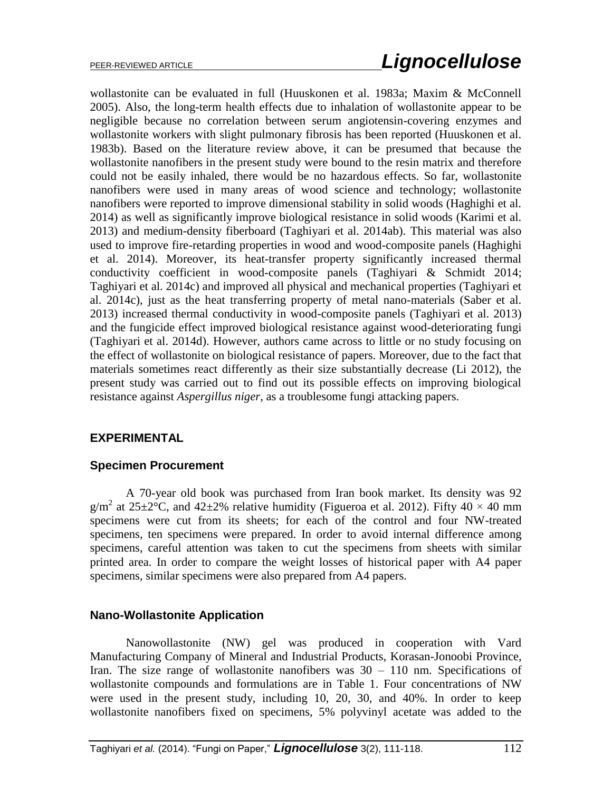wollastonite can be evaluated in full (Huuskonen et al. 1983a; Maxim & McConnell 2005). Also, the long-term health effects due to inhalation of wollastonite appear to be negligible because no correlation between serum angiotensin-covering enzymes and wollastonite workers with slight pulmonary fibrosis has been reported (Huuskonen et al. 1983b). Based on the literature review above, it can be presumed that because the wollastonite nanofibers in the present study were bound to the resin matrix and therefore could not be easily inhaled, there would be no hazardous effects. So far, wollastonite nanofibers were used in many areas of wood science and technology; wollastonite nanofibers were reported to improve dimensional stability in solid woods (Haghighi et al. 2014) as well as significantly improve biological resistance in solid woods (Karimi et al. 2013) and medium-density fiberboard (Taghiyari et al. 2014ab). This material was also used to improve fire-retarding properties in wood and wood-composite panels (Haghighi et al. 2014). Moreover, its heat-transfer property significantly increased thermal conductivity coefficient in wood-composite panels (Taghiyari & Schmidt 2014; Taghiyari et al. 2014c) and improved all physical and mechanical properties (Taghiyari et al. 2014c), just as the heat transferring property of metal nano-materials (Saber et al. 2013) increased thermal conductivity in wood-composite panels (Taghiyari et al. 2013) and the fungicide effect improved biological resistance against wood-deteriorating fungi (Taghiyari et al. 2014d). However, authors came across to little or no study focusing on the effect of wollastonite on biological resistance of papers. Moreover, due to the fact that materials sometimes react differently as their size substantially decrease (Li 2012), the present study was carried out to find out its possible effects on improving biological resistance against *Aspergillus niger*, as a troublesome fungi attacking papers.

#### **EXPERIMENTAL**

#### **Specimen Procurement**

A 70-year old book was purchased from Iran book market. Its density was 92  $g/m^2$  at 25 $\pm 2^{\circ}$ C, and 42 $\pm 2\%$  relative humidity (Figueroa et al. 2012). Fifty 40  $\times$  40 mm specimens were cut from its sheets; for each of the control and four NW-treated specimens, ten specimens were prepared. In order to avoid internal difference among specimens, careful attention was taken to cut the specimens from sheets with similar printed area. In order to compare the weight losses of historical paper with A4 paper specimens, similar specimens were also prepared from A4 papers.

#### **Nano-Wollastonite Application**

Nanowollastonite (NW) gel was produced in cooperation with Vard Manufacturing Company of Mineral and Industrial Products, Korasan-Jonoobi Province, Iran. The size range of wollastonite nanofibers was  $30 - 110$  nm. Specifications of wollastonite compounds and formulations are in Table 1. Four concentrations of NW were used in the present study, including 10, 20, 30, and 40%. In order to keep wollastonite nanofibers fixed on specimens, 5% polyvinyl acetate was added to the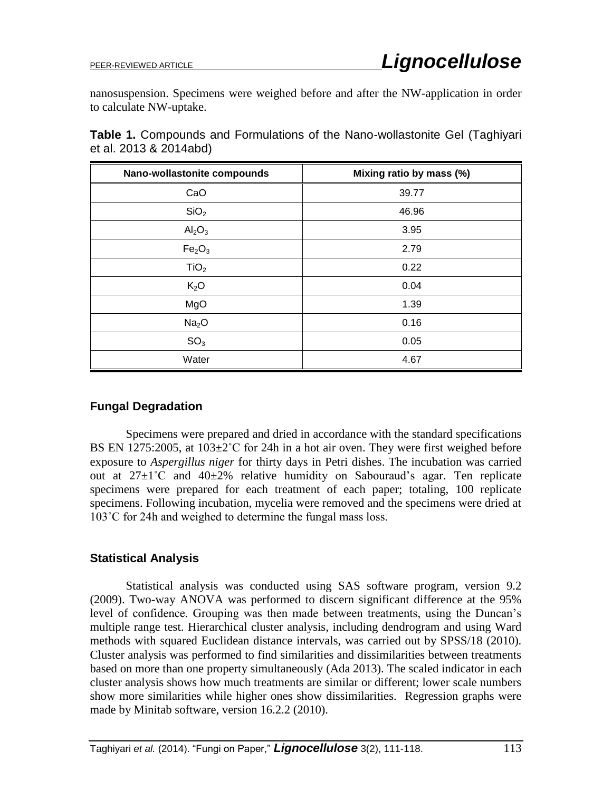nanosuspension. Specimens were weighed before and after the NW-application in order to calculate NW-uptake.

**Table 1.** Compounds and Formulations of the Nano-wollastonite Gel (Taghiyari et al. 2013 & 2014abd)

| Nano-wollastonite compounds    | Mixing ratio by mass (%) |
|--------------------------------|--------------------------|
| CaO                            | 39.77                    |
| SiO <sub>2</sub>               | 46.96                    |
| Al <sub>2</sub> O <sub>3</sub> | 3.95                     |
| Fe <sub>2</sub> O <sub>3</sub> | 2.79                     |
| TiO <sub>2</sub>               | 0.22                     |
| $K_2O$                         | 0.04                     |
| MgO                            | 1.39                     |
| Na <sub>2</sub> O              | 0.16                     |
| SO <sub>3</sub>                | 0.05                     |
| Water                          | 4.67                     |

#### **Fungal Degradation**

Specimens were prepared and dried in accordance with the standard specifications BS EN 1275:2005, at  $103\pm2\degree$ C for 24h in a hot air oven. They were first weighed before exposure to *Aspergillus niger* for thirty days in Petri dishes. The incubation was carried out at  $27\pm1^{\circ}$ C and  $40\pm2\%$  relative humidity on Sabouraud's agar. Ten replicate specimens were prepared for each treatment of each paper; totaling, 100 replicate specimens. Following incubation, mycelia were removed and the specimens were dried at 103˚C for 24h and weighed to determine the fungal mass loss.

#### **Statistical Analysis**

Statistical analysis was conducted using SAS software program, version 9.2 (2009). Two-way ANOVA was performed to discern significant difference at the 95% level of confidence. Grouping was then made between treatments, using the Duncan's multiple range test. Hierarchical cluster analysis, including dendrogram and using Ward methods with squared Euclidean distance intervals, was carried out by SPSS/18 (2010). Cluster analysis was performed to find similarities and dissimilarities between treatments based on more than one property simultaneously (Ada 2013). The scaled indicator in each cluster analysis shows how much treatments are similar or different; lower scale numbers show more similarities while higher ones show dissimilarities. Regression graphs were made by Minitab software, version 16.2.2 (2010).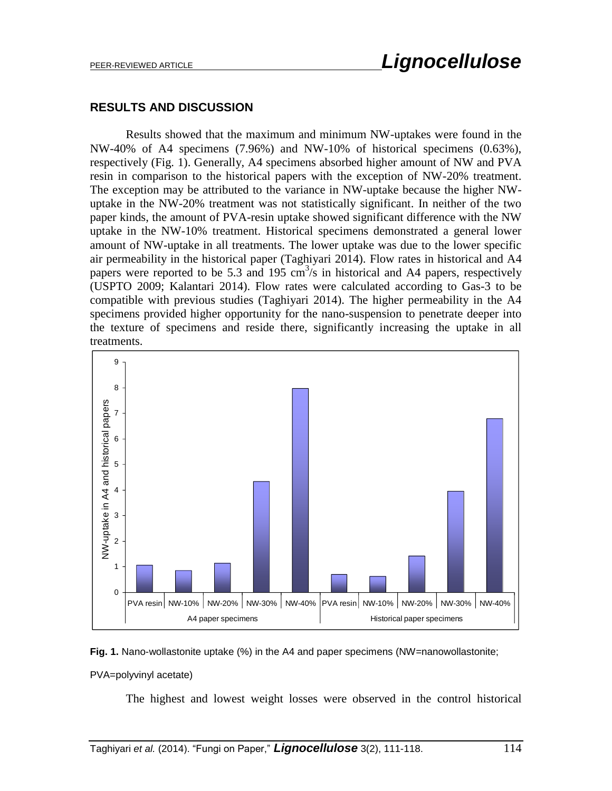#### **RESULTS AND DISCUSSION**

Results showed that the maximum and minimum NW-uptakes were found in the NW-40% of A4 specimens (7.96%) and NW-10% of historical specimens (0.63%), respectively (Fig. 1). Generally, A4 specimens absorbed higher amount of NW and PVA resin in comparison to the historical papers with the exception of NW-20% treatment. The exception may be attributed to the variance in NW-uptake because the higher NWuptake in the NW-20% treatment was not statistically significant. In neither of the two paper kinds, the amount of PVA-resin uptake showed significant difference with the NW uptake in the NW-10% treatment. Historical specimens demonstrated a general lower amount of NW-uptake in all treatments. The lower uptake was due to the lower specific air permeability in the historical paper (Taghiyari 2014). Flow rates in historical and A4 papers were reported to be 5.3 and 195  $\text{cm}^3\text{/s}$  in historical and A4 papers, respectively (USPTO 2009; Kalantari 2014). Flow rates were calculated according to Gas-3 to be compatible with previous studies (Taghiyari 2014). The higher permeability in the A4 specimens provided higher opportunity for the nano-suspension to penetrate deeper into the texture of specimens and reside there, significantly increasing the uptake in all treatments.



**Fig. 1.** Nano-wollastonite uptake (%) in the A4 and paper specimens (NW=nanowollastonite; PVA=polyvinyl acetate)

The highest and lowest weight losses were observed in the control historical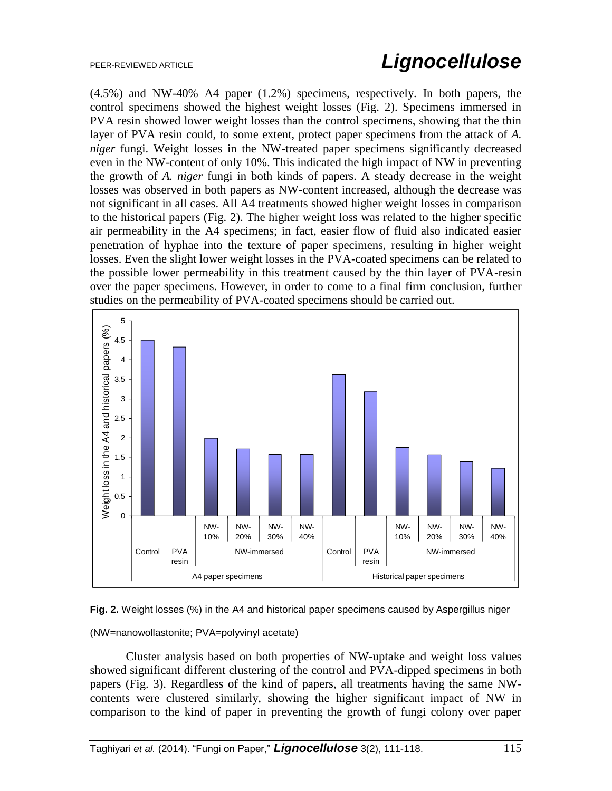(4.5%) and NW-40% A4 paper (1.2%) specimens, respectively. In both papers, the control specimens showed the highest weight losses (Fig. 2). Specimens immersed in PVA resin showed lower weight losses than the control specimens, showing that the thin layer of PVA resin could, to some extent, protect paper specimens from the attack of *A. niger* fungi. Weight losses in the NW-treated paper specimens significantly decreased even in the NW-content of only 10%. This indicated the high impact of NW in preventing the growth of *A. niger* fungi in both kinds of papers. A steady decrease in the weight losses was observed in both papers as NW-content increased, although the decrease was not significant in all cases. All A4 treatments showed higher weight losses in comparison to the historical papers (Fig. 2). The higher weight loss was related to the higher specific air permeability in the A4 specimens; in fact, easier flow of fluid also indicated easier penetration of hyphae into the texture of paper specimens, resulting in higher weight losses. Even the slight lower weight losses in the PVA-coated specimens can be related to the possible lower permeability in this treatment caused by the thin layer of PVA-resin over the paper specimens. However, in order to come to a final firm conclusion, further studies on the permeability of PVA-coated specimens should be carried out.





(NW=nanowollastonite; PVA=polyvinyl acetate)

Cluster analysis based on both properties of NW-uptake and weight loss values showed significant different clustering of the control and PVA-dipped specimens in both papers (Fig. 3). Regardless of the kind of papers, all treatments having the same NWcontents were clustered similarly, showing the higher significant impact of NW in comparison to the kind of paper in preventing the growth of fungi colony over paper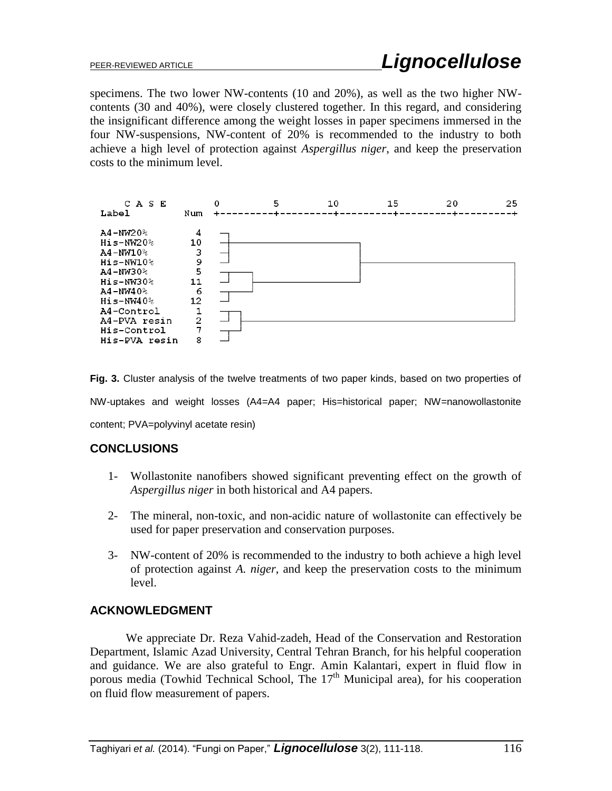specimens. The two lower NW-contents (10 and 20%), as well as the two higher NWcontents (30 and 40%), were closely clustered together. In this regard, and considering the insignificant difference among the weight losses in paper specimens immersed in the four NW-suspensions, NW-content of 20% is recommended to the industry to both achieve a high level of protection against *Aspergillus niger*, and keep the preservation costs to the minimum level.



**Fig. 3.** Cluster analysis of the twelve treatments of two paper kinds, based on two properties of NW-uptakes and weight losses (A4=A4 paper; His=historical paper; NW=nanowollastonite content; PVA=polyvinyl acetate resin)

#### **CONCLUSIONS**

- 1- Wollastonite nanofibers showed significant preventing effect on the growth of *Aspergillus niger* in both historical and A4 papers.
- 2- The mineral, non-toxic, and non-acidic nature of wollastonite can effectively be used for paper preservation and conservation purposes.
- 3- NW-content of 20% is recommended to the industry to both achieve a high level of protection against *A. niger*, and keep the preservation costs to the minimum level.

## **ACKNOWLEDGMENT**

We appreciate Dr. Reza Vahid-zadeh, Head of the Conservation and Restoration Department, Islamic Azad University, Central Tehran Branch, for his helpful cooperation and guidance. We are also grateful to Engr. Amin Kalantari, expert in fluid flow in porous media (Towhid Technical School, The  $17<sup>th</sup>$  Municipal area), for his cooperation on fluid flow measurement of papers.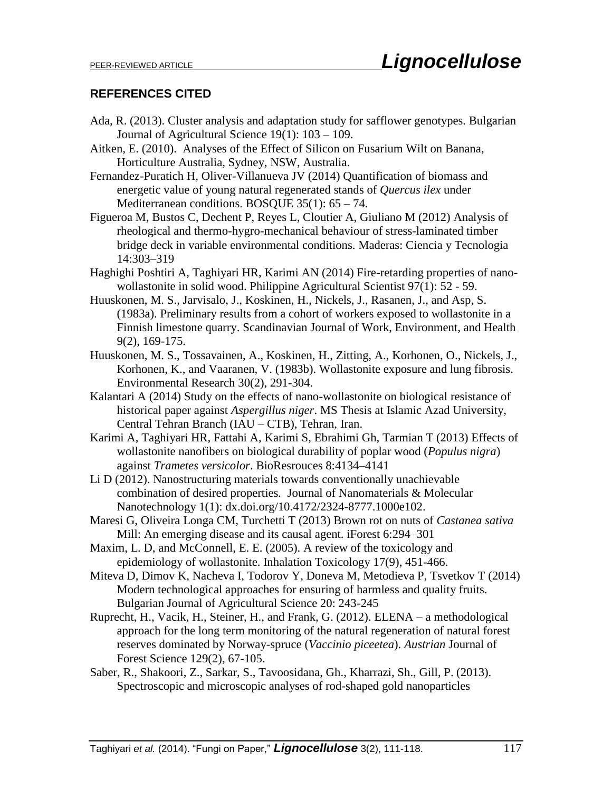### **REFERENCES CITED**

- Ada, R. (2013). Cluster analysis and adaptation study for safflower genotypes. Bulgarian Journal of Agricultural Science 19(1): 103 – 109.
- Aitken, E. (2010). Analyses of the Effect of Silicon on Fusarium Wilt on Banana, Horticulture Australia, Sydney, NSW, Australia.
- Fernandez-Puratich H, Oliver-Villanueva JV (2014) Quantification of biomass and energetic value of young natural regenerated stands of *Quercus ilex* under Mediterranean conditions. BOSQUE 35(1): 65 – 74.
- Figueroa M, Bustos C, Dechent P, Reyes L, Cloutier A, Giuliano M (2012) Analysis of rheological and thermo-hygro-mechanical behaviour of stress-laminated timber bridge deck in variable environmental conditions. Maderas: Ciencia y Tecnologia 14:303–319
- Haghighi Poshtiri A, Taghiyari HR, Karimi AN (2014) Fire-retarding properties of nanowollastonite in solid wood. Philippine Agricultural Scientist 97(1): 52 - 59.
- Huuskonen, M. S., Jarvisalo, J., Koskinen, H., Nickels, J., Rasanen, J., and Asp, S. (1983a). Preliminary results from a cohort of workers exposed to wollastonite in a Finnish limestone quarry. Scandinavian Journal of Work, Environment, and Health 9(2), 169-175.
- Huuskonen, M. S., Tossavainen, A., Koskinen, H., Zitting, A., Korhonen, O., Nickels, J., Korhonen, K., and Vaaranen, V. (1983b). Wollastonite exposure and lung fibrosis. Environmental Research 30(2), 291-304.
- Kalantari A (2014) Study on the effects of nano-wollastonite on biological resistance of historical paper against *Aspergillus niger*. MS Thesis at Islamic Azad University, Central Tehran Branch (IAU – CTB), Tehran, Iran.
- Karimi A, Taghiyari HR, Fattahi A, Karimi S, Ebrahimi Gh, Tarmian T (2013) Effects of wollastonite nanofibers on biological durability of poplar wood (*Populus nigra*) against *Trametes versicolor*. BioResrouces 8:4134–4141
- Li D (2012). Nanostructuring materials towards conventionally unachievable combination of desired properties*.* Journal of Nanomaterials & Molecular Nanotechnology 1(1): dx.doi.org/10.4172/2324-8777.1000e102.
- Maresi G, Oliveira Longa CM, Turchetti T (2013) Brown rot on nuts of *Castanea sativa* Mill: An emerging disease and its causal agent. iForest 6:294–301
- Maxim, L. D, and McConnell, E. E. (2005). A review of the toxicology and epidemiology of wollastonite. Inhalation Toxicology 17(9), 451-466.
- Miteva D, Dimov K, Nacheva I, Todorov Y, Doneva M, Metodieva P, Tsvetkov T (2014) Modern technological approaches for ensuring of harmless and quality fruits. Bulgarian Journal of Agricultural Science 20: 243-245
- Ruprecht, H., Vacik, H., Steiner, H., and Frank, G. (2012). ELENA a methodological approach for the long term monitoring of the natural regeneration of natural forest reserves dominated by Norway-spruce (*Vaccinio piceetea*). *Austrian* Journal of Forest Science 129(2), 67-105.
- Saber, R., Shakoori, Z., Sarkar, S., Tavoosidana, Gh., Kharrazi, Sh., Gill, P. (2013). Spectroscopic and microscopic analyses of rod-shaped gold nanoparticles